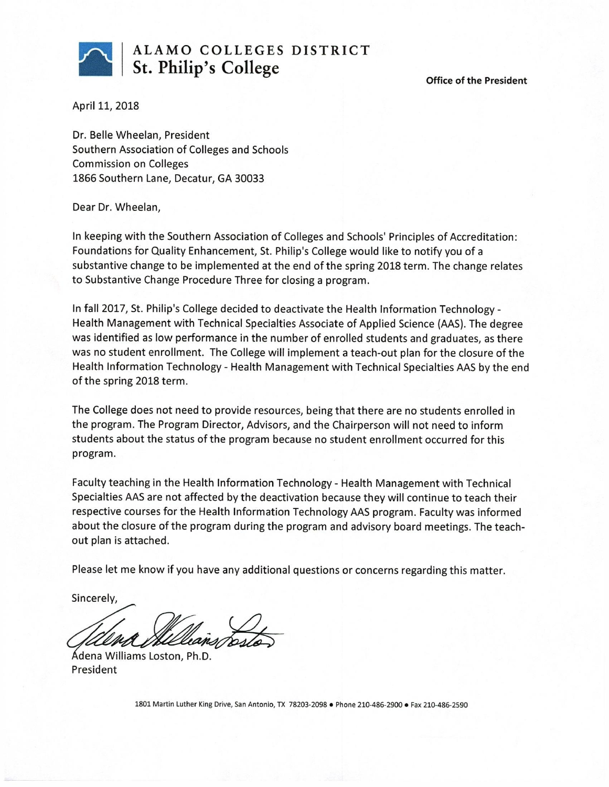

# ALAMO COLLEGES DISTRICT St. Philip's College

**Office of the President** 

April 11, 2018

Dr. Belle Wheelan, President Southern Association of Colleges and Schools **Commission on Colleges** 1866 Southern Lane, Decatur, GA 30033

Dear Dr. Wheelan,

In keeping with the Southern Association of Colleges and Schools' Principles of Accreditation: Foundations for Quality Enhancement, St. Philip's College would like to notify you of a substantive change to be implemented at the end of the spring 2018 term. The change relates to Substantive Change Procedure Three for closing a program.

In fall 2017, St. Philip's College decided to deactivate the Health Information Technology -Health Management with Technical Specialties Associate of Applied Science (AAS). The degree was identified as low performance in the number of enrolled students and graduates, as there was no student enrollment. The College will implement a teach-out plan for the closure of the Health Information Technology - Health Management with Technical Specialties AAS by the end of the spring 2018 term.

The College does not need to provide resources, being that there are no students enrolled in the program. The Program Director, Advisors, and the Chairperson will not need to inform students about the status of the program because no student enrollment occurred for this program.

Faculty teaching in the Health Information Technology - Health Management with Technical Specialties AAS are not affected by the deactivation because they will continue to teach their respective courses for the Health Information Technology AAS program. Faculty was informed about the closure of the program during the program and advisory board meetings. The teachout plan is attached.

Please let me know if you have any additional questions or concerns regarding this matter.

Sincerely,

Ádena Williams Loston, Ph.D. President

1801 Martin Luther King Drive, San Antonio, TX 78203-2098 . Phone 210-486-2900 . Fax 210-486-2590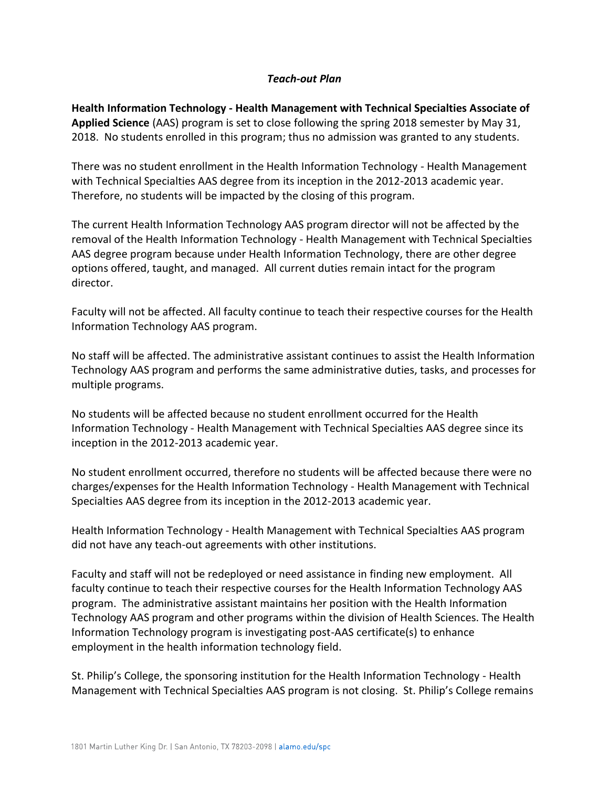### *Teach-out Plan*

**Health Information Technology - Health Management with Technical Specialties Associate of Applied Science** (AAS) program is set to close following the spring 2018 semester by May 31, 2018. No students enrolled in this program; thus no admission was granted to any students.

There was no student enrollment in the Health Information Technology - Health Management with Technical Specialties AAS degree from its inception in the 2012-2013 academic year. Therefore, no students will be impacted by the closing of this program.

The current Health Information Technology AAS program director will not be affected by the removal of the Health Information Technology - Health Management with Technical Specialties AAS degree program because under Health Information Technology, there are other degree options offered, taught, and managed. All current duties remain intact for the program director.

Faculty will not be affected. All faculty continue to teach their respective courses for the Health Information Technology AAS program.

No staff will be affected. The administrative assistant continues to assist the Health Information Technology AAS program and performs the same administrative duties, tasks, and processes for multiple programs.

No students will be affected because no student enrollment occurred for the Health Information Technology - Health Management with Technical Specialties AAS degree since its inception in the 2012-2013 academic year.

No student enrollment occurred, therefore no students will be affected because there were no charges/expenses for the Health Information Technology - Health Management with Technical Specialties AAS degree from its inception in the 2012-2013 academic year.

Health Information Technology - Health Management with Technical Specialties AAS program did not have any teach-out agreements with other institutions.

Faculty and staff will not be redeployed or need assistance in finding new employment. All faculty continue to teach their respective courses for the Health Information Technology AAS program. The administrative assistant maintains her position with the Health Information Technology AAS program and other programs within the division of Health Sciences. The Health Information Technology program is investigating post-AAS certificate(s) to enhance employment in the health information technology field.

St. Philip's College, the sponsoring institution for the Health Information Technology - Health Management with Technical Specialties AAS program is not closing. St. Philip's College remains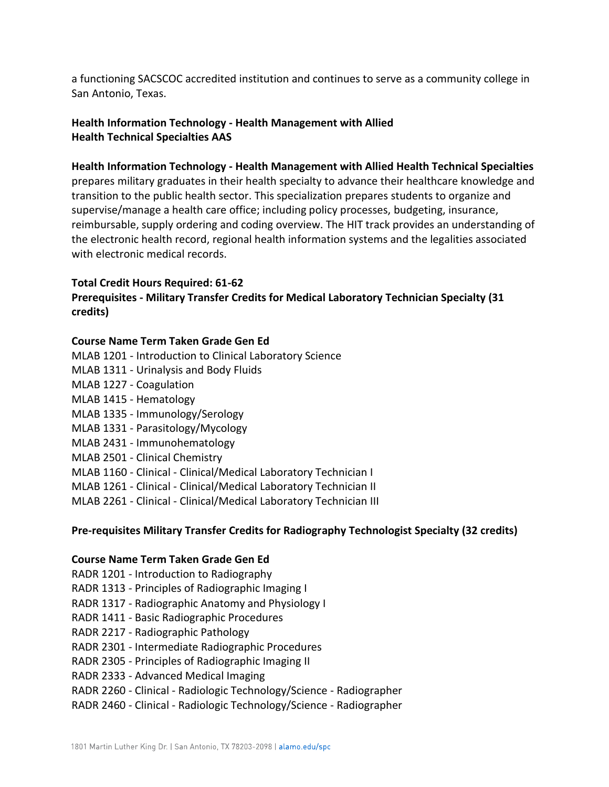a functioning SACSCOC accredited institution and continues to serve as a community college in San Antonio, Texas.

# **Health Information Technology - Health Management with Allied Health Technical Specialties AAS**

### **Health Information Technology - Health Management with Allied Health Technical Specialties**

prepares military graduates in their health specialty to advance their healthcare knowledge and transition to the public health sector. This specialization prepares students to organize and supervise/manage a health care office; including policy processes, budgeting, insurance, reimbursable, supply ordering and coding overview. The HIT track provides an understanding of the electronic health record, regional health information systems and the legalities associated with electronic medical records.

## **Total Credit Hours Required: 61-62**

# **Prerequisites - Military Transfer Credits for Medical Laboratory Technician Specialty (31 credits)**

## **Course Name Term Taken Grade Gen Ed**

- MLAB 1201 Introduction to Clinical Laboratory Science
- MLAB 1311 Urinalysis and Body Fluids
- MLAB 1227 Coagulation
- MLAB 1415 Hematology
- MLAB 1335 Immunology/Serology
- MLAB 1331 Parasitology/Mycology
- MLAB 2431 Immunohematology
- MLAB 2501 Clinical Chemistry
- MLAB 1160 Clinical Clinical/Medical Laboratory Technician I
- MLAB 1261 Clinical Clinical/Medical Laboratory Technician II
- MLAB 2261 Clinical Clinical/Medical Laboratory Technician III

### **Pre-requisites Military Transfer Credits for Radiography Technologist Specialty (32 credits)**

### **Course Name Term Taken Grade Gen Ed**

- RADR 1201 Introduction to Radiography
- RADR 1313 Principles of Radiographic Imaging I
- RADR 1317 Radiographic Anatomy and Physiology I
- RADR 1411 Basic Radiographic Procedures
- RADR 2217 Radiographic Pathology
- RADR 2301 Intermediate Radiographic Procedures
- RADR 2305 Principles of Radiographic Imaging II
- RADR 2333 Advanced Medical Imaging
- RADR 2260 Clinical Radiologic Technology/Science Radiographer
- RADR 2460 Clinical Radiologic Technology/Science Radiographer